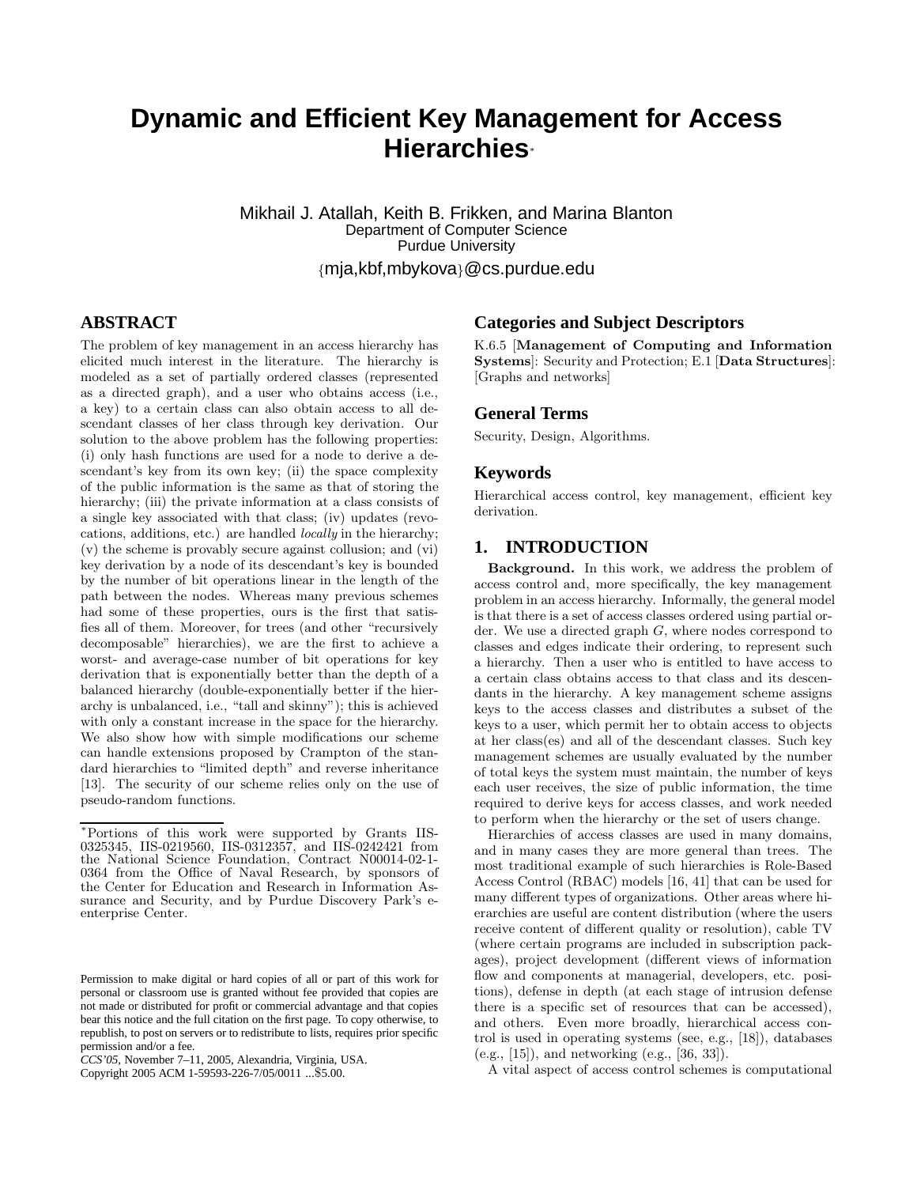# **Dynamic and Efficient Key Management for Access Hierarchies**<sup>∗</sup>

Mikhail J. Atallah, Keith B. Frikken, and Marina Blanton Department of Computer Science Purdue University

{mja,kbf,mbykova}@cs.purdue.edu

# **ABSTRACT**

The problem of key management in an access hierarchy has elicited much interest in the literature. The hierarchy is modeled as a set of partially ordered classes (represented as a directed graph), and a user who obtains access (i.e., a key) to a certain class can also obtain access to all descendant classes of her class through key derivation. Our solution to the above problem has the following properties: (i) only hash functions are used for a node to derive a descendant's key from its own key; (ii) the space complexity of the public information is the same as that of storing the hierarchy; (iii) the private information at a class consists of a single key associated with that class; (iv) updates (revocations, additions, etc.) are handled locally in the hierarchy; (v) the scheme is provably secure against collusion; and (vi) key derivation by a node of its descendant's key is bounded by the number of bit operations linear in the length of the path between the nodes. Whereas many previous schemes had some of these properties, ours is the first that satisfies all of them. Moreover, for trees (and other "recursively decomposable" hierarchies), we are the first to achieve a worst- and average-case number of bit operations for key derivation that is exponentially better than the depth of a balanced hierarchy (double-exponentially better if the hierarchy is unbalanced, i.e., "tall and skinny"); this is achieved with only a constant increase in the space for the hierarchy. We also show how with simple modifications our scheme can handle extensions proposed by Crampton of the standard hierarchies to "limited depth" and reverse inheritance [13]. The security of our scheme relies only on the use of pseudo-random functions.

Copyright 2005 ACM 1-59593-226-7/05/0011 ...\$5.00.

#### **Categories and Subject Descriptors**

K.6.5 [Management of Computing and Information Systems]: Security and Protection; E.1 [Data Structures]: [Graphs and networks]

## **General Terms**

Security, Design, Algorithms.

#### **Keywords**

Hierarchical access control, key management, efficient key derivation.

# **1. INTRODUCTION**

Background. In this work, we address the problem of access control and, more specifically, the key management problem in an access hierarchy. Informally, the general model is that there is a set of access classes ordered using partial order. We use a directed graph G, where nodes correspond to classes and edges indicate their ordering, to represent such a hierarchy. Then a user who is entitled to have access to a certain class obtains access to that class and its descendants in the hierarchy. A key management scheme assigns keys to the access classes and distributes a subset of the keys to a user, which permit her to obtain access to objects at her class(es) and all of the descendant classes. Such key management schemes are usually evaluated by the number of total keys the system must maintain, the number of keys each user receives, the size of public information, the time required to derive keys for access classes, and work needed to perform when the hierarchy or the set of users change.

Hierarchies of access classes are used in many domains, and in many cases they are more general than trees. The most traditional example of such hierarchies is Role-Based Access Control (RBAC) models [16, 41] that can be used for many different types of organizations. Other areas where hierarchies are useful are content distribution (where the users receive content of different quality or resolution), cable TV (where certain programs are included in subscription packages), project development (different views of information flow and components at managerial, developers, etc. positions), defense in depth (at each stage of intrusion defense there is a specific set of resources that can be accessed), and others. Even more broadly, hierarchical access control is used in operating systems (see, e.g., [18]), databases (e.g., [15]), and networking (e.g., [36, 33]).

A vital aspect of access control schemes is computational

<sup>∗</sup>Portions of this work were supported by Grants IIS-0325345, IIS-0219560, IIS-0312357, and IIS-0242421 from the National Science Foundation, Contract N00014-02-1- 0364 from the Office of Naval Research, by sponsors of the Center for Education and Research in Information Assurance and Security, and by Purdue Discovery Park's eenterprise Center.

Permission to make digital or hard copies of all or part of this work for personal or classroom use is granted without fee provided that copies are not made or distributed for profit or commercial advantage and that copies bear this notice and the full citation on the first page. To copy otherwise, to republish, to post on servers or to redistribute to lists, requires prior specific permission and/or a fee.

*CCS'05,* November 7–11, 2005, Alexandria, Virginia, USA.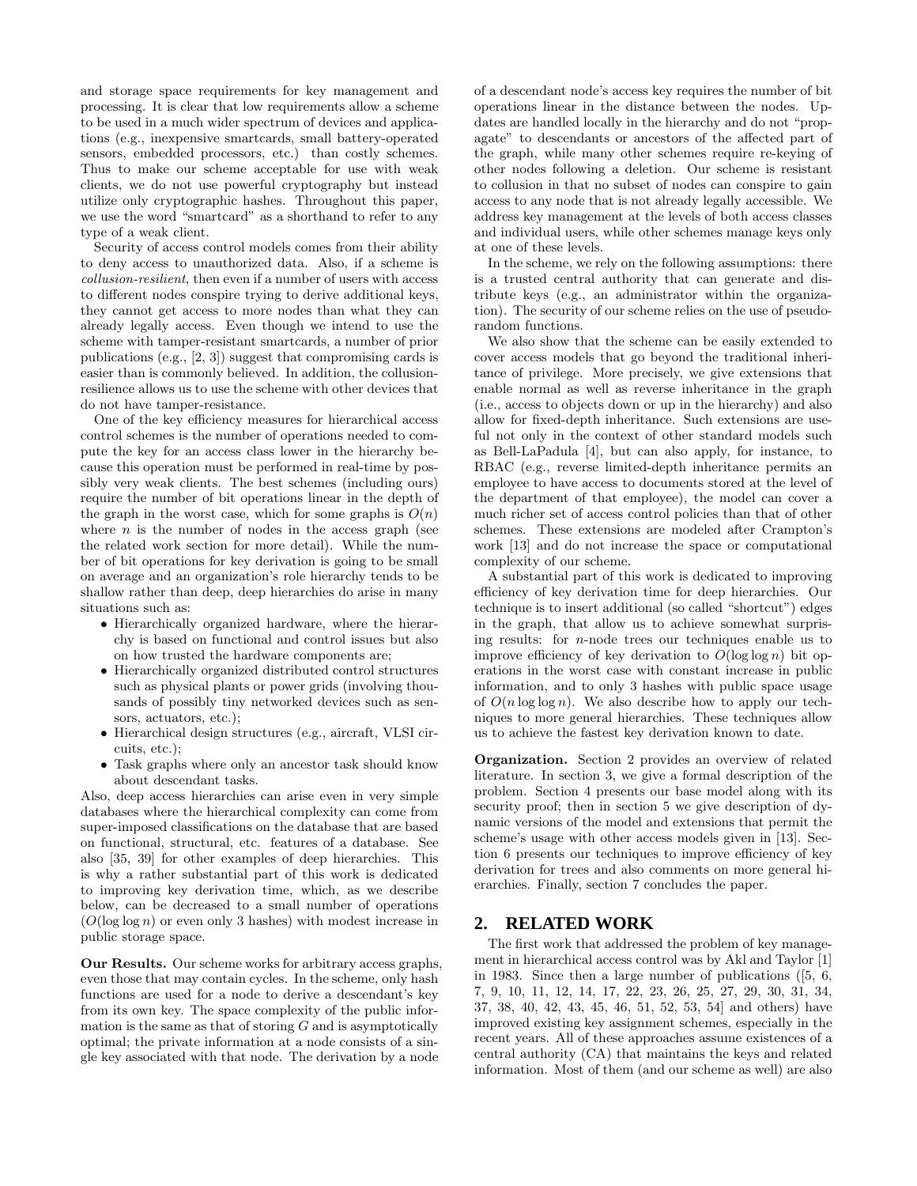and storage space requirements for key management and processing. It is clear that low requirements allow a scheme to be used in a much wider spectrum of devices and applications (e.g., inexpensive smartcards, small battery-operated sensors, embedded processors, etc.) than costly schemes. Thus to make our scheme acceptable for use with weak clients, we do not use powerful cryptography but instead utilize only cryptographic hashes. Throughout this paper, we use the word "smartcard" as a shorthand to refer to any type of a weak client.

Security of access control models comes from their ability to deny access to unauthorized data. Also, if a scheme is collusion-resilient, then even if a number of users with access to different nodes conspire trying to derive additional keys, they cannot get access to more nodes than what they can already legally access. Even though we intend to use the scheme with tamper-resistant smartcards, a number of prior publications (e.g., [2, 3]) suggest that compromising cards is easier than is commonly believed. In addition, the collusionresilience allows us to use the scheme with other devices that do not have tamper-resistance.

One of the key efficiency measures for hierarchical access control schemes is the number of operations needed to compute the key for an access class lower in the hierarchy because this operation must be performed in real-time by possibly very weak clients. The best schemes (including ours) require the number of bit operations linear in the depth of the graph in the worst case, which for some graphs is  $O(n)$ where  $n$  is the number of nodes in the access graph (see the related work section for more detail). While the number of bit operations for key derivation is going to be small on average and an organization's role hierarchy tends to be shallow rather than deep, deep hierarchies do arise in many situations such as:

- Hierarchically organized hardware, where the hierarchy is based on functional and control issues but also on how trusted the hardware components are;
- Hierarchically organized distributed control structures such as physical plants or power grids (involving thousands of possibly tiny networked devices such as sensors, actuators, etc.);
- Hierarchical design structures (e.g., aircraft, VLSI circuits, etc.);
- Task graphs where only an ancestor task should know about descendant tasks.

Also, deep access hierarchies can arise even in very simple databases where the hierarchical complexity can come from super-imposed classifications on the database that are based on functional, structural, etc. features of a database. See also [35, 39] for other examples of deep hierarchies. This is why a rather substantial part of this work is dedicated to improving key derivation time, which, as we describe below, can be decreased to a small number of operations  $(O(\log \log n))$  or even only 3 hashes) with modest increase in public storage space.

Our Results. Our scheme works for arbitrary access graphs, even those that may contain cycles. In the scheme, only hash functions are used for a node to derive a descendant's key from its own key. The space complexity of the public information is the same as that of storing  $G$  and is asymptotically optimal; the private information at a node consists of a single key associated with that node. The derivation by a node

of a descendant node's access key requires the number of bit operations linear in the distance between the nodes. Updates are handled locally in the hierarchy and do not "propagate" to descendants or ancestors of the affected part of the graph, while many other schemes require re-keying of other nodes following a deletion. Our scheme is resistant to collusion in that no subset of nodes can conspire to gain access to any node that is not already legally accessible. We address key management at the levels of both access classes and individual users, while other schemes manage keys only at one of these levels.

In the scheme, we rely on the following assumptions: there is a trusted central authority that can generate and distribute keys (e.g., an administrator within the organization). The security of our scheme relies on the use of pseudorandom functions.

We also show that the scheme can be easily extended to cover access models that go beyond the traditional inheritance of privilege. More precisely, we give extensions that enable normal as well as reverse inheritance in the graph (i.e., access to objects down or up in the hierarchy) and also allow for fixed-depth inheritance. Such extensions are useful not only in the context of other standard models such as Bell-LaPadula [4], but can also apply, for instance, to RBAC (e.g., reverse limited-depth inheritance permits an employee to have access to documents stored at the level of the department of that employee), the model can cover a much richer set of access control policies than that of other schemes. These extensions are modeled after Crampton's work [13] and do not increase the space or computational complexity of our scheme.

A substantial part of this work is dedicated to improving efficiency of key derivation time for deep hierarchies. Our technique is to insert additional (so called "shortcut") edges in the graph, that allow us to achieve somewhat surprising results: for n-node trees our techniques enable us to improve efficiency of key derivation to  $O(\log \log n)$  bit operations in the worst case with constant increase in public information, and to only 3 hashes with public space usage of  $O(n \log \log n)$ . We also describe how to apply our techniques to more general hierarchies. These techniques allow us to achieve the fastest key derivation known to date.

Organization. Section 2 provides an overview of related literature. In section 3, we give a formal description of the problem. Section 4 presents our base model along with its security proof; then in section 5 we give description of dynamic versions of the model and extensions that permit the scheme's usage with other access models given in [13]. Section 6 presents our techniques to improve efficiency of key derivation for trees and also comments on more general hierarchies. Finally, section 7 concludes the paper.

## **2. RELATED WORK**

The first work that addressed the problem of key management in hierarchical access control was by Akl and Taylor [1] in 1983. Since then a large number of publications ([5, 6, 7, 9, 10, 11, 12, 14, 17, 22, 23, 26, 25, 27, 29, 30, 31, 34, 37, 38, 40, 42, 43, 45, 46, 51, 52, 53, 54] and others) have improved existing key assignment schemes, especially in the recent years. All of these approaches assume existences of a central authority (CA) that maintains the keys and related information. Most of them (and our scheme as well) are also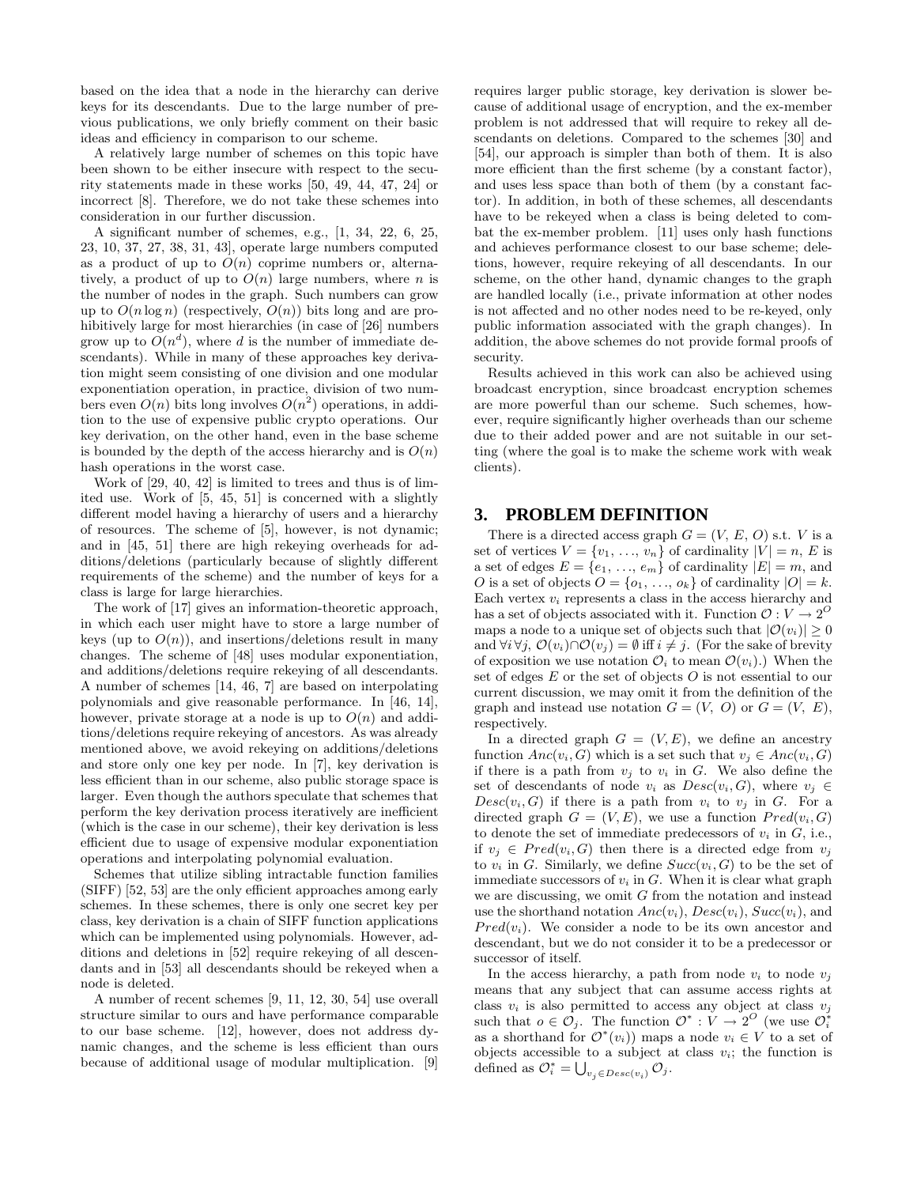based on the idea that a node in the hierarchy can derive keys for its descendants. Due to the large number of previous publications, we only briefly comment on their basic ideas and efficiency in comparison to our scheme.

A relatively large number of schemes on this topic have been shown to be either insecure with respect to the security statements made in these works [50, 49, 44, 47, 24] or incorrect [8]. Therefore, we do not take these schemes into consideration in our further discussion.

A significant number of schemes, e.g., [1, 34, 22, 6, 25, 23, 10, 37, 27, 38, 31, 43], operate large numbers computed as a product of up to  $O(n)$  coprime numbers or, alternatively, a product of up to  $O(n)$  large numbers, where n is the number of nodes in the graph. Such numbers can grow up to  $O(n \log n)$  (respectively,  $O(n)$ ) bits long and are prohibitively large for most hierarchies (in case of [26] numbers grow up to  $O(n^d)$ , where d is the number of immediate descendants). While in many of these approaches key derivation might seem consisting of one division and one modular exponentiation operation, in practice, division of two numbers even  $O(n)$  bits long involves  $O(n^2)$  operations, in addition to the use of expensive public crypto operations. Our key derivation, on the other hand, even in the base scheme is bounded by the depth of the access hierarchy and is  $O(n)$ hash operations in the worst case.

Work of [29, 40, 42] is limited to trees and thus is of limited use. Work of [5, 45, 51] is concerned with a slightly different model having a hierarchy of users and a hierarchy of resources. The scheme of [5], however, is not dynamic; and in [45, 51] there are high rekeying overheads for additions/deletions (particularly because of slightly different requirements of the scheme) and the number of keys for a class is large for large hierarchies.

The work of [17] gives an information-theoretic approach, in which each user might have to store a large number of keys (up to  $O(n)$ ), and insertions/deletions result in many changes. The scheme of [48] uses modular exponentiation, and additions/deletions require rekeying of all descendants. A number of schemes [14, 46, 7] are based on interpolating polynomials and give reasonable performance. In [46, 14], however, private storage at a node is up to  $O(n)$  and additions/deletions require rekeying of ancestors. As was already mentioned above, we avoid rekeying on additions/deletions and store only one key per node. In [7], key derivation is less efficient than in our scheme, also public storage space is larger. Even though the authors speculate that schemes that perform the key derivation process iteratively are inefficient (which is the case in our scheme), their key derivation is less efficient due to usage of expensive modular exponentiation operations and interpolating polynomial evaluation.

Schemes that utilize sibling intractable function families (SIFF) [52, 53] are the only efficient approaches among early schemes. In these schemes, there is only one secret key per class, key derivation is a chain of SIFF function applications which can be implemented using polynomials. However, additions and deletions in [52] require rekeying of all descendants and in [53] all descendants should be rekeyed when a node is deleted.

A number of recent schemes [9, 11, 12, 30, 54] use overall structure similar to ours and have performance comparable to our base scheme. [12], however, does not address dynamic changes, and the scheme is less efficient than ours because of additional usage of modular multiplication. [9]

requires larger public storage, key derivation is slower because of additional usage of encryption, and the ex-member problem is not addressed that will require to rekey all descendants on deletions. Compared to the schemes [30] and [54], our approach is simpler than both of them. It is also more efficient than the first scheme (by a constant factor), and uses less space than both of them (by a constant factor). In addition, in both of these schemes, all descendants have to be rekeyed when a class is being deleted to combat the ex-member problem. [11] uses only hash functions and achieves performance closest to our base scheme; deletions, however, require rekeying of all descendants. In our scheme, on the other hand, dynamic changes to the graph are handled locally (i.e., private information at other nodes is not affected and no other nodes need to be re-keyed, only public information associated with the graph changes). In addition, the above schemes do not provide formal proofs of security.

Results achieved in this work can also be achieved using broadcast encryption, since broadcast encryption schemes are more powerful than our scheme. Such schemes, however, require significantly higher overheads than our scheme due to their added power and are not suitable in our setting (where the goal is to make the scheme work with weak clients).

## **3. PROBLEM DEFINITION**

There is a directed access graph  $G = (V, E, O)$  s.t. V is a set of vertices  $V = \{v_1, \ldots, v_n\}$  of cardinality  $|V| = n$ , E is a set of edges  $E = \{e_1, \ldots, e_m\}$  of cardinality  $|E| = m$ , and O is a set of objects  $O = \{o_1, \ldots, o_k\}$  of cardinality  $|O| = k$ . Each vertex  $v_i$  represents a class in the access hierarchy and has a set of objects associated with it. Function  $\mathcal{O}: V \to 2^{\mathcal{O}}$ maps a node to a unique set of objects such that  $|\mathcal{O}(v_i)| \geq 0$ and  $\forall i \forall j$ ,  $\mathcal{O}(v_i) \cap \mathcal{O}(v_j) = \emptyset$  iff  $i \neq j$ . (For the sake of brevity of exposition we use notation  $\mathcal{O}_i$  to mean  $\mathcal{O}(v_i)$ .) When the set of edges  $E$  or the set of objects  $O$  is not essential to our current discussion, we may omit it from the definition of the graph and instead use notation  $G = (V, O)$  or  $G = (V, E)$ , respectively.

In a directed graph  $G = (V, E)$ , we define an ancestry function  $Anc(v_i, G)$  which is a set such that  $v_i \in Anc(v_i, G)$ if there is a path from  $v_i$  to  $v_i$  in G. We also define the set of descendants of node  $v_i$  as  $Desc(v_i, G)$ , where  $v_i \in$  $Desc(v_i, G)$  if there is a path from  $v_i$  to  $v_j$  in G. For a directed graph  $G = (V, E)$ , we use a function  $Pred(v_i, G)$ to denote the set of immediate predecessors of  $v_i$  in  $G$ , i.e., if  $v_j \in Pred(v_i, G)$  then there is a directed edge from  $v_j$ to  $v_i$  in G. Similarly, we define  $Succ(v_i, G)$  to be the set of immediate successors of  $v_i$  in  $G$ . When it is clear what graph we are discussing, we omit  $G$  from the notation and instead use the shorthand notation  $Anc(v_i)$ ,  $Desc(v_i)$ ,  $Succ(v_i)$ , and  $Pred(v_i)$ . We consider a node to be its own ancestor and descendant, but we do not consider it to be a predecessor or successor of itself.

In the access hierarchy, a path from node  $v_i$  to node  $v_j$ means that any subject that can assume access rights at class  $v_i$  is also permitted to access any object at class  $v_j$ such that  $o \in \mathcal{O}_j$ . The function  $\mathcal{O}^* : V \to 2^{\mathcal{O}}$  (we use  $\mathcal{O}_i^*$ as a shorthand for  $\mathcal{O}^*(v_i)$  maps a node  $v_i \in V$  to a set of objects accessible to a subject at class  $v_i$ ; the function is defined as  $\mathcal{O}_i^* = \bigcup_{v_j \in Desc(v_i)} \mathcal{O}_j$ .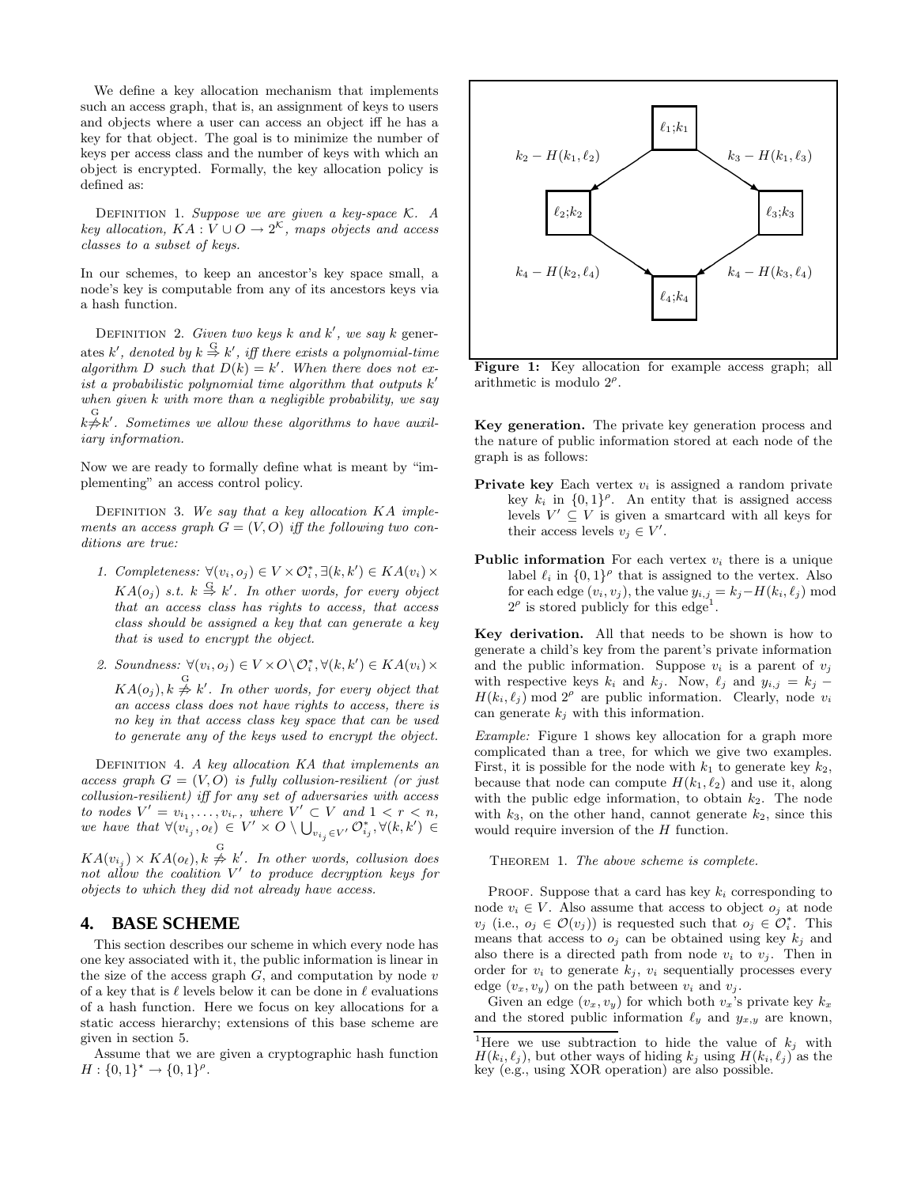We define a key allocation mechanism that implements such an access graph, that is, an assignment of keys to users and objects where a user can access an object iff he has a key for that object. The goal is to minimize the number of keys per access class and the number of keys with which an object is encrypted. Formally, the key allocation policy is defined as:

DEFINITION 1. Suppose we are given a key-space  $K$ . A key allocation,  $KA: V \cup O \rightarrow 2<sup>K</sup>$ , maps objects and access classes to a subset of keys.

In our schemes, to keep an ancestor's key space small, a node's key is computable from any of its ancestors keys via a hash function.

DEFINITION 2. Given two keys  $k$  and  $k'$ , we say  $k$  generates k', denoted by  $k \stackrel{G}{\Rightarrow} k'$ , iff there exists a polynomial-time algorithm D such that  $D(k) = k'$ . When there does not exist a probabilistic polynomial time algorithm that outputs  $k'$ when given k with more than a negligible probability, we say  $k \neq k'$ . Sometimes we allow these algorithms to have auxil-

iary information. Now we are ready to formally define what is meant by "im-

plementing" an access control policy.

DEFINITION 3. We say that a key allocation  $KA$  implements an access graph  $G = (V, O)$  iff the following two conditions are true:

- 1. Completeness:  $\forall (v_i, o_j) \in V \times \mathcal{O}_i^*, \exists (k, k') \in KA(v_i) \times$  $KA(o_j)$  s.t.  $k \stackrel{G}{\Rightarrow} k'$ . In other words, for every object that an access class has rights to access, that access class should be assigned a key that can generate a key that is used to encrypt the object.
- 2. Soundness:  $\forall (v_i, o_j) \in V \times O \backslash \mathcal{O}_i^*, \forall (k, k') \in KA(v_i) \times$  $KA(o_j), k \neq k'.$  In other words, for every object that an access class does not have rights to access, there is no key in that access class key space that can be used to generate any of the keys used to encrypt the object.

DEFINITION 4. A key allocation  $KA$  that implements an access graph  $G = (V, O)$  is fully collusion-resilient (or just collusion-resilient) iff for any set of adversaries with access to nodes  $V' = v_{i_1}, \ldots, v_{i_r}$ , where  $V' \subset V$  and  $1 < r < n$ , we have that  $\forall (v_{i_j}, o_\ell) \in V' \times O \setminus \bigcup_{v_{i_j} \in V'} \mathcal{O}_{i_j}^*, \forall (k, k') \in$  $KA(v_{ij}) \times KA(o_{\ell}), k \overset{G}{\neq} k'.$  In other words, collusion does

not allow the coalition  $V'$  to produce decryption keys for objects to which they did not already have access.

## **4. BASE SCHEME**

This section describes our scheme in which every node has one key associated with it, the public information is linear in the size of the access graph  $G$ , and computation by node  $v$ of a key that is  $\ell$  levels below it can be done in  $\ell$  evaluations of a hash function. Here we focus on key allocations for a static access hierarchy; extensions of this base scheme are given in section 5.

Assume that we are given a cryptographic hash function  $H: \{0,1\}^* \to \{0,1\}^{\rho}.$ 



Figure 1: Key allocation for example access graph; all arithmetic is modulo  $2^{\rho}$ .

Key generation. The private key generation process and the nature of public information stored at each node of the graph is as follows:

- **Private key** Each vertex  $v_i$  is assigned a random private key  $k_i$  in  $\{0,1\}^{\rho}$ . An entity that is assigned access levels  $V' \subseteq V$  is given a smartcard with all keys for their access levels  $v_j \in V'.$
- **Public information** For each vertex  $v_i$  there is a unique label  $\ell_i$  in  $\{0, 1\}^{\rho}$  that is assigned to the vertex. Also for each edge  $(v_i, v_j)$ , the value  $y_{i,j} = k_j - H(k_i, \ell_j) \text{ mod } j$  $2^{\rho}$  is stored publicly for this edge<sup>1</sup> .

Key derivation. All that needs to be shown is how to generate a child's key from the parent's private information and the public information. Suppose  $v_i$  is a parent of  $v_j$ with respective keys  $k_i$  and  $k_j$ . Now,  $\ell_j$  and  $y_{i,j} = k_j H(k_i, \ell_j)$  mod  $2^{\rho}$  are public information. Clearly, node  $v_i$ can generate  $k_j$  with this information.

Example: Figure 1 shows key allocation for a graph more complicated than a tree, for which we give two examples. First, it is possible for the node with  $k_1$  to generate key  $k_2$ , because that node can compute  $H(k_1, \ell_2)$  and use it, along with the public edge information, to obtain  $k_2$ . The node with  $k_3$ , on the other hand, cannot generate  $k_2$ , since this would require inversion of the H function.

THEOREM 1. The above scheme is complete.

PROOF. Suppose that a card has key  $k_i$  corresponding to node  $v_i \in V$ . Also assume that access to object  $o_i$  at node  $v_j$  (i.e.,  $o_j \in \mathcal{O}(v_j)$ ) is requested such that  $o_j \in \mathcal{O}_i^*$ . This means that access to  $o_j$  can be obtained using key  $k_j$  and also there is a directed path from node  $v_i$  to  $v_j$ . Then in order for  $v_i$  to generate  $k_j$ ,  $v_i$  sequentially processes every edge  $(v_x, v_y)$  on the path between  $v_i$  and  $v_j$ .

Given an edge  $(v_x, v_y)$  for which both  $v_x$ 's private key  $k_x$ and the stored public information  $\ell_y$  and  $y_{x,y}$  are known,

<sup>&</sup>lt;sup>1</sup>Here we use subtraction to hide the value of  $k_i$  with  $H(k_i, \ell_i)$ , but other ways of hiding  $k_i$  using  $H(k_i, \ell_i)$  as the key (e.g., using XOR operation) are also possible.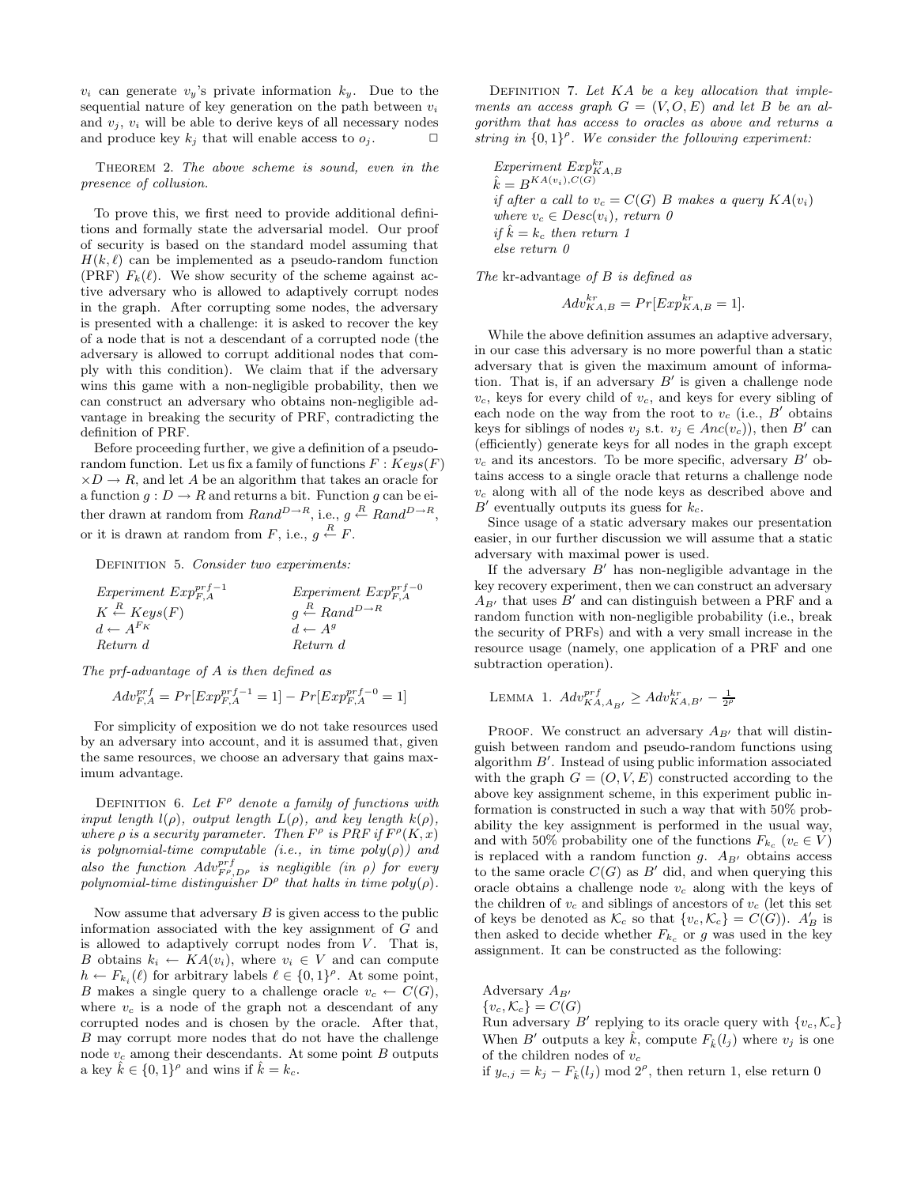$v_i$  can generate  $v_y$ 's private information  $k_y$ . Due to the sequential nature of key generation on the path between  $v_i$ and  $v_i$ ,  $v_i$  will be able to derive keys of all necessary nodes and produce key  $k_j$  that will enable access to  $o_j$ .

THEOREM 2. The above scheme is sound, even in the presence of collusion.

To prove this, we first need to provide additional definitions and formally state the adversarial model. Our proof of security is based on the standard model assuming that  $H(k, \ell)$  can be implemented as a pseudo-random function (PRF)  $F_k(\ell)$ . We show security of the scheme against active adversary who is allowed to adaptively corrupt nodes in the graph. After corrupting some nodes, the adversary is presented with a challenge: it is asked to recover the key of a node that is not a descendant of a corrupted node (the adversary is allowed to corrupt additional nodes that comply with this condition). We claim that if the adversary wins this game with a non-negligible probability, then we can construct an adversary who obtains non-negligible advantage in breaking the security of PRF, contradicting the definition of PRF.

Before proceeding further, we give a definition of a pseudorandom function. Let us fix a family of functions  $F : Keys(F)$  $\times D \rightarrow R$ , and let A be an algorithm that takes an oracle for a function  $g: D \to R$  and returns a bit. Function g can be either drawn at random from  $Rand^{D\rightarrow R}$ , i.e.,  $g \stackrel{R}{\leftarrow} Rand^{D\rightarrow R}$ , or it is drawn at random from  $F$ , i.e.,  $g \stackrel{R}{\leftarrow} F$ .

DEFINITION 5. Consider two experiments:

| Experiment $Exp_{F,A}^{prf-1}$       | Experiment $Exp_{F,A}^{prf-0}$                      |
|--------------------------------------|-----------------------------------------------------|
| $K \stackrel{R}{\leftarrow} Keys(F)$ | $q \stackrel{R}{\leftarrow} Rand^{D \rightarrow R}$ |
| $d \leftarrow A^{F_K}$               | $d \leftarrow A^g$                                  |
| Return d                             | Return d                                            |

The prf-advantage of A is then defined as

$$
Adv_{F,A}^{prf} = Pr[Exp_{F,A}^{prf-1} = 1] - Pr[Exp_{F,A}^{prf-0} = 1]
$$

For simplicity of exposition we do not take resources used by an adversary into account, and it is assumed that, given the same resources, we choose an adversary that gains maximum advantage.

DEFINITION 6. Let  $F^{\rho}$  denote a family of functions with input length  $l(\rho)$ , output length  $L(\rho)$ , and key length  $k(\rho)$ , where  $\rho$  is a security parameter. Then  $F^{\rho}$  is PRF if  $F^{\rho}(K, x)$ is polynomial-time computable (i.e., in time  $poly(\rho))$  and also the function  $Adv_{F^{\rho},D^{\rho}}^{prf}$  is negligible (in  $\rho$ ) for every polynomial-time distinguisher  $D^{\rho}$  that halts in time  $poly(\rho)$ .

Now assume that adversary  $B$  is given access to the public information associated with the key assignment of G and is allowed to adaptively corrupt nodes from  $V$ . That is, B obtains  $k_i \leftarrow KA(v_i)$ , where  $v_i \in V$  and can compute  $h \leftarrow F_{k_i}(\ell)$  for arbitrary labels  $\ell \in \{0,1\}^{\rho}$ . At some point, B makes a single query to a challenge oracle  $v_c \leftarrow C(G)$ , where  $v_c$  is a node of the graph not a descendant of any corrupted nodes and is chosen by the oracle. After that, B may corrupt more nodes that do not have the challenge node  $v_c$  among their descendants. At some point  $B$  outputs a key  $\hat{k} \in \{0, 1\}^{\rho}$  and wins if  $\hat{k} = k_c$ .

DEFINITION 7. Let  $KA$  be a key allocation that implements an access graph  $G = (V, O, E)$  and let B be an algorithm that has access to oracles as above and returns a string in  $\{0,1\}^{\rho}$ . We consider the following experiment:

Experiment 
$$
Exp_{KA,B}^{kr}
$$
  
\n $\hat{k} = B^{KA(v_i),C(G)}$   
\nif after a call to  $v_c = C(G) B$  makes a query  $KA(v_i)$   
\nwhere  $v_c \in Desc(v_i)$ , return 0  
\nif  $\hat{k} = k_c$  then return 1  
\nelse return 0

The kr-advantage of B is defined as

$$
Adv_{KA,B}^{kr} = Pr[Exp_{KA,B}^{kr} = 1].
$$

While the above definition assumes an adaptive adversary, in our case this adversary is no more powerful than a static adversary that is given the maximum amount of information. That is, if an adversary  $B'$  is given a challenge node  $v_c$ , keys for every child of  $v_c$ , and keys for every sibling of each node on the way from the root to  $v_c$  (i.e.,  $B'$  obtains keys for siblings of nodes  $v_j$  s.t.  $v_j \in Anc(v_c)$ , then B' can (efficiently) generate keys for all nodes in the graph except  $v_c$  and its ancestors. To be more specific, adversary  $B'$  obtains access to a single oracle that returns a challenge node  $v_c$  along with all of the node keys as described above and  $B'$  eventually outputs its guess for  $k_c$ .

Since usage of a static adversary makes our presentation easier, in our further discussion we will assume that a static adversary with maximal power is used.

If the adversary  $B'$  has non-negligible advantage in the key recovery experiment, then we can construct an adversary  $A_{B'}$  that uses  $B'$  and can distinguish between a PRF and a random function with non-negligible probability (i.e., break the security of PRFs) and with a very small increase in the resource usage (namely, one application of a PRF and one subtraction operation).

LEMMA 1. 
$$
Adv_{KA,A_{B'}}^{prf} \geq Adv_{KA,B'}^{kr} - \frac{1}{2^{\rho}}
$$

PROOF. We construct an adversary  $A_{B'}$  that will distinguish between random and pseudo-random functions using algorithm  $B'$ . Instead of using public information associated with the graph  $G = (O, V, E)$  constructed according to the above key assignment scheme, in this experiment public information is constructed in such a way that with 50% probability the key assignment is performed in the usual way, and with 50% probability one of the functions  $F_{k_c}$   $(v_c \in V)$ is replaced with a random function g.  $A_{B'}$  obtains access to the same oracle  $C(G)$  as  $B'$  did, and when querying this oracle obtains a challenge node  $v_c$  along with the keys of the children of  $v_c$  and siblings of ancestors of  $v_c$  (let this set of keys be denoted as  $\mathcal{K}_c$  so that  $\{v_c, \mathcal{K}_c\} = C(G)$ .  $A'_B$  is then asked to decide whether  $F_{k_c}$  or g was used in the key assignment. It can be constructed as the following:

Adversary  $A_{B'}$ 

 $\{v_c, \mathcal{K}_c\} = C(G)$ 

Run adversary  $B'$  replying to its oracle query with  $\{v_c, \mathcal{K}_c\}$ When  $B'$  outputs a key  $\hat{k}$ , compute  $F_{\hat{k}}(l_j)$  where  $v_j$  is one of the children nodes of  $v_c$ 

if  $y_{c,j} = k_j - F_{\hat{k}}(l_j) \mod 2^{\rho}$ , then return 1, else return 0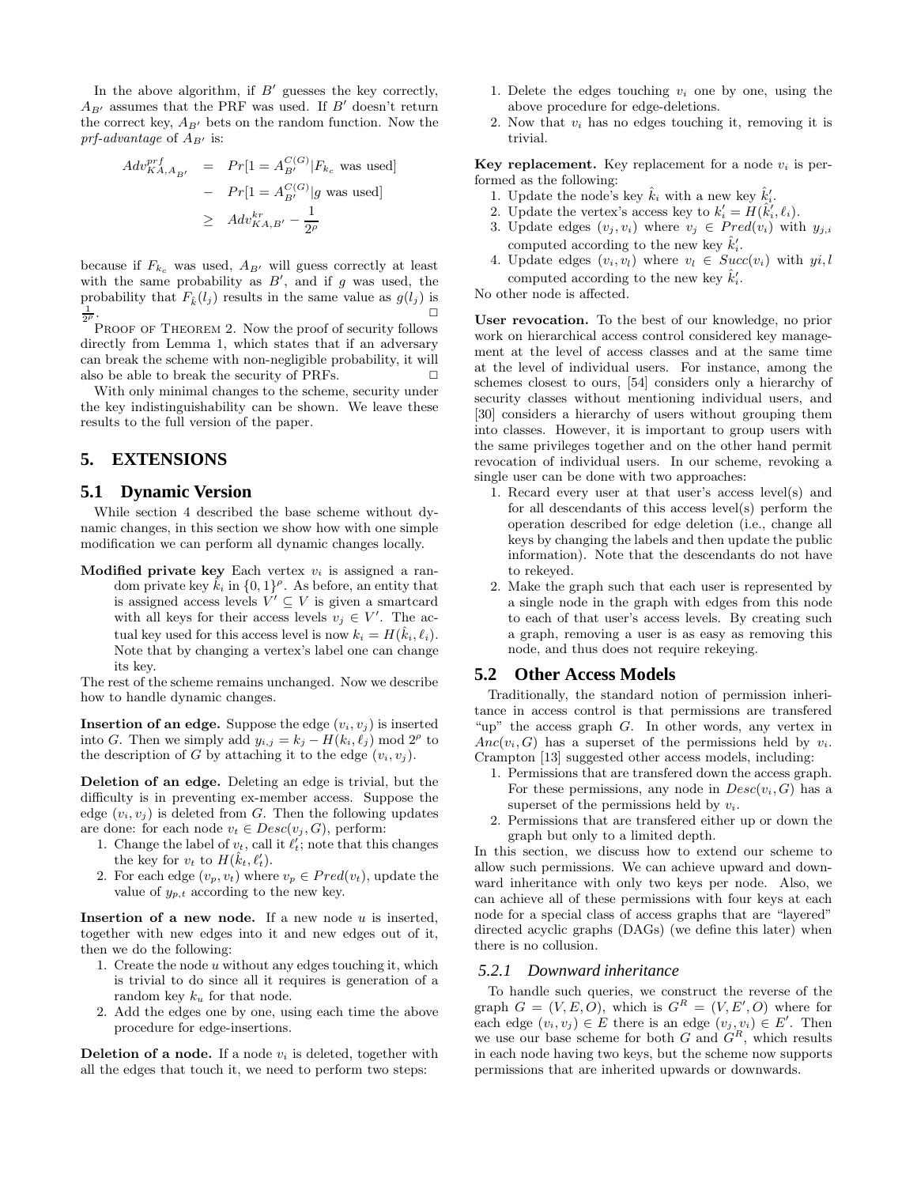In the above algorithm, if  $B'$  guesses the key correctly,  $A_{B'}$  assumes that the PRF was used. If B' doesn't return the correct key,  $A_{B'}$  bets on the random function. Now the prf-advantage of  $A_{B'}$  is:

$$
Adv_{KA, A_{B'}}^{prf} = Pr[1 = A_{B'}^{C(G)} | F_{k_c} \text{ was used}]
$$
  
- 
$$
Pr[1 = A_{B'}^{C(G)} | g \text{ was used}]
$$
  

$$
\geq Adv_{KA, B'}^{kr} - \frac{1}{2^{\rho}}
$$

because if  $F_{k_c}$  was used,  $A_{B'}$  will guess correctly at least with the same probability as  $B'$ , and if g was used, the probability that  $F_{\hat{k}}(l_j)$  results in the same value as  $g(l_j)$  is  $\frac{1}{2p}$ .

PROOF OF THEOREM 2. Now the proof of security follows directly from Lemma 1, which states that if an adversary can break the scheme with non-negligible probability, it will also be able to break the security of PRFs.  $\Box$ 

With only minimal changes to the scheme, security under the key indistinguishability can be shown. We leave these results to the full version of the paper.

## **5. EXTENSIONS**

## **5.1 Dynamic Version**

While section 4 described the base scheme without dynamic changes, in this section we show how with one simple modification we can perform all dynamic changes locally.

Modified private key Each vertex  $v_i$  is assigned a random private key  $\hat{k}_i$  in  $\{0,1\}^{\rho}$ . As before, an entity that is assigned access levels  $V' \subseteq V$  is given a smartcard with all keys for their access levels  $v_j \in V'$ . The actual key used for this access level is now  $k_i = H(\hat{k}_i, \ell_i)$ . Note that by changing a vertex's label one can change its key.

The rest of the scheme remains unchanged. Now we describe how to handle dynamic changes.

**Insertion of an edge.** Suppose the edge  $(v_i, v_j)$  is inserted into G. Then we simply add  $y_{i,j} = k_j - H(k_i, \ell_j) \mod 2^{\rho}$  to the description of G by attaching it to the edge  $(v_i, v_j)$ .

Deletion of an edge. Deleting an edge is trivial, but the difficulty is in preventing ex-member access. Suppose the edge  $(v_i, v_j)$  is deleted from G. Then the following updates are done: for each node  $v_t \in Desc(v_j, G)$ , perform:

- 1. Change the label of  $v_t$ , call it  $\ell'_t$ ; note that this changes the key for  $v_t$  to  $H(\hat{k}_t, \ell'_t)$ .
- 2. For each edge  $(v_p, v_t)$  where  $v_p \in Pred(v_t)$ , update the value of  $y_{p,t}$  according to the new key.

**Insertion of a new node.** If a new node  $u$  is inserted, together with new edges into it and new edges out of it, then we do the following:

- 1. Create the node u without any edges touching it, which is trivial to do since all it requires is generation of a random key  $k_u$  for that node.
- 2. Add the edges one by one, using each time the above procedure for edge-insertions.

**Deletion of a node.** If a node  $v_i$  is deleted, together with all the edges that touch it, we need to perform two steps:

- 1. Delete the edges touching  $v_i$  one by one, using the above procedure for edge-deletions.
- 2. Now that  $v_i$  has no edges touching it, removing it is trivial.

Key replacement. Key replacement for a node  $v_i$  is performed as the following:

- 1. Update the node's key  $\hat{k}_i$  with a new key  $\hat{k}'_i$ .
- 2. Update the vertex's access key to  $k'_{i} = H(\hat{k}'_{i}, \ell_{i}).$
- 3. Update edges  $(v_j, v_i)$  where  $v_j \in Pred(v_i)$  with  $y_{j,i}$ computed according to the new key  $\hat{k}'_i$ .
- 4. Update edges  $(v_i, v_l)$  where  $v_l \in Succ(v_i)$  with  $yi, l$ computed according to the new key  $\hat{k}'_i$ .

No other node is affected.

User revocation. To the best of our knowledge, no prior work on hierarchical access control considered key management at the level of access classes and at the same time at the level of individual users. For instance, among the schemes closest to ours, [54] considers only a hierarchy of security classes without mentioning individual users, and [30] considers a hierarchy of users without grouping them into classes. However, it is important to group users with the same privileges together and on the other hand permit revocation of individual users. In our scheme, revoking a single user can be done with two approaches:

- 1. Recard every user at that user's access level(s) and for all descendants of this access level(s) perform the operation described for edge deletion (i.e., change all keys by changing the labels and then update the public information). Note that the descendants do not have to rekeyed.
- 2. Make the graph such that each user is represented by a single node in the graph with edges from this node to each of that user's access levels. By creating such a graph, removing a user is as easy as removing this node, and thus does not require rekeying.

## **5.2 Other Access Models**

Traditionally, the standard notion of permission inheritance in access control is that permissions are transfered "up" the access graph  $G$ . In other words, any vertex in  $Anc(v_i, G)$  has a superset of the permissions held by  $v_i$ . Crampton [13] suggested other access models, including:

- 1. Permissions that are transfered down the access graph. For these permissions, any node in  $Desc(v_i, G)$  has a superset of the permissions held by  $v_i$ .
- 2. Permissions that are transfered either up or down the graph but only to a limited depth.

In this section, we discuss how to extend our scheme to allow such permissions. We can achieve upward and downward inheritance with only two keys per node. Also, we can achieve all of these permissions with four keys at each node for a special class of access graphs that are "layered" directed acyclic graphs (DAGs) (we define this later) when there is no collusion.

#### *5.2.1 Downward inheritance*

To handle such queries, we construct the reverse of the graph  $G = (V, E, O)$ , which is  $G<sup>R</sup> = (V, E', O)$  where for each edge  $(v_i, v_j) \in E$  there is an edge  $(v_j, v_i) \in E'$ . Then we use our base scheme for both  $G$  and  $G<sup>R</sup>$ , which results in each node having two keys, but the scheme now supports permissions that are inherited upwards or downwards.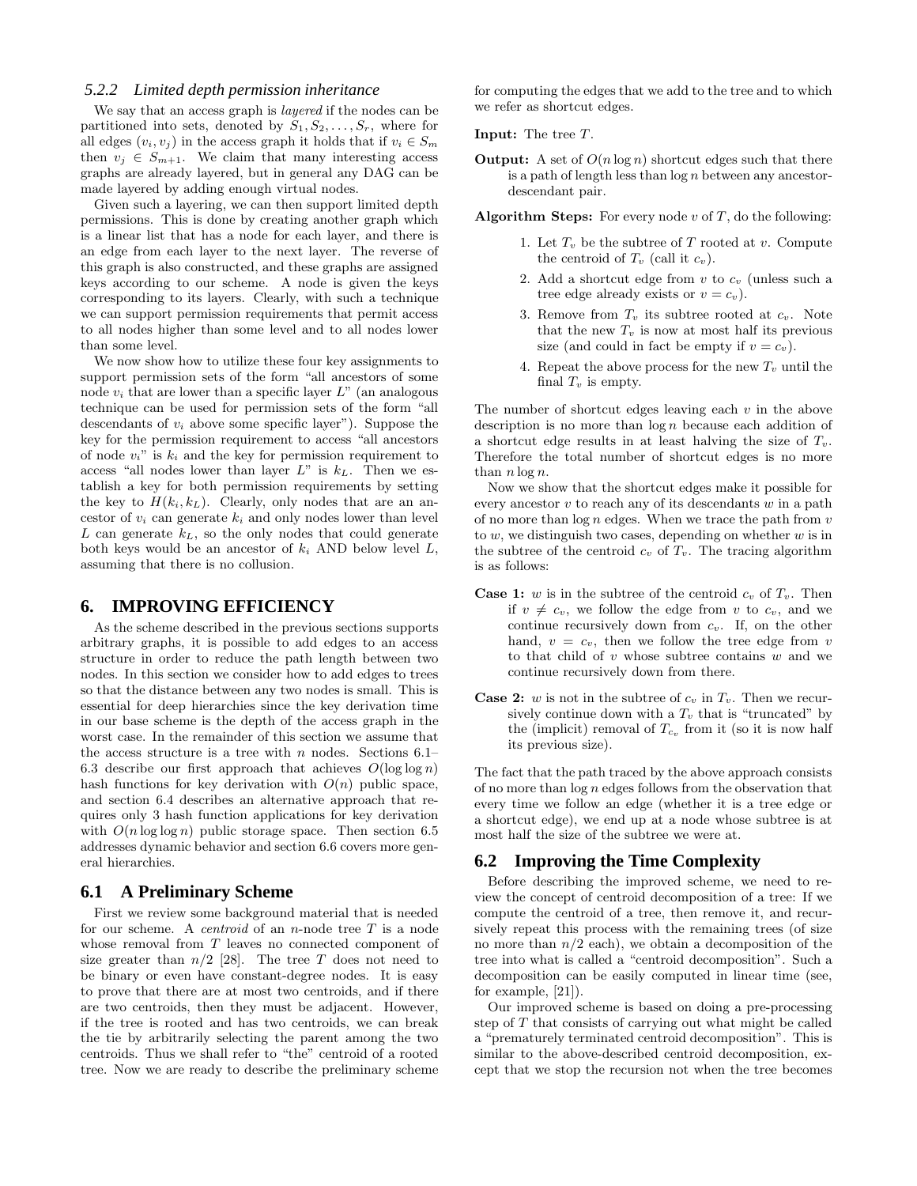### *5.2.2 Limited depth permission inheritance*

We say that an access graph is *layered* if the nodes can be partitioned into sets, denoted by  $S_1, S_2, \ldots, S_r$ , where for all edges  $(v_i, v_j)$  in the access graph it holds that if  $v_i \in S_m$ then  $v_i \in S_{m+1}$ . We claim that many interesting access graphs are already layered, but in general any DAG can be made layered by adding enough virtual nodes.

Given such a layering, we can then support limited depth permissions. This is done by creating another graph which is a linear list that has a node for each layer, and there is an edge from each layer to the next layer. The reverse of this graph is also constructed, and these graphs are assigned keys according to our scheme. A node is given the keys corresponding to its layers. Clearly, with such a technique we can support permission requirements that permit access to all nodes higher than some level and to all nodes lower than some level.

We now show how to utilize these four key assignments to support permission sets of the form "all ancestors of some node  $v_i$  that are lower than a specific layer  $L^{\prime\prime}$  (an analogous technique can be used for permission sets of the form "all descendants of  $v_i$  above some specific layer"). Suppose the key for the permission requirement to access "all ancestors of node  $v_i$ " is  $k_i$  and the key for permission requirement to access "all nodes lower than layer  $L$ " is  $k_L$ . Then we establish a key for both permission requirements by setting the key to  $H(k_i, k_L)$ . Clearly, only nodes that are an ancestor of  $v_i$  can generate  $k_i$  and only nodes lower than level L can generate  $k<sub>L</sub>$ , so the only nodes that could generate both keys would be an ancestor of  $k_i$  AND below level  $L$ , assuming that there is no collusion.

## **6. IMPROVING EFFICIENCY**

As the scheme described in the previous sections supports arbitrary graphs, it is possible to add edges to an access structure in order to reduce the path length between two nodes. In this section we consider how to add edges to trees so that the distance between any two nodes is small. This is essential for deep hierarchies since the key derivation time in our base scheme is the depth of the access graph in the worst case. In the remainder of this section we assume that the access structure is a tree with  $n$  nodes. Sections 6.1– 6.3 describe our first approach that achieves  $O(\log \log n)$ hash functions for key derivation with  $O(n)$  public space, and section 6.4 describes an alternative approach that requires only 3 hash function applications for key derivation with  $O(n \log \log n)$  public storage space. Then section 6.5 addresses dynamic behavior and section 6.6 covers more general hierarchies.

### **6.1 A Preliminary Scheme**

First we review some background material that is needed for our scheme. A *centroid* of an *n*-node tree  $T$  is a node whose removal from T leaves no connected component of size greater than  $n/2$  [28]. The tree T does not need to be binary or even have constant-degree nodes. It is easy to prove that there are at most two centroids, and if there are two centroids, then they must be adjacent. However, if the tree is rooted and has two centroids, we can break the tie by arbitrarily selecting the parent among the two centroids. Thus we shall refer to "the" centroid of a rooted tree. Now we are ready to describe the preliminary scheme

for computing the edges that we add to the tree and to which we refer as shortcut edges.

#### Input: The tree T.

**Output:** A set of  $O(n \log n)$  shortcut edges such that there is a path of length less than  $log n$  between any ancestordescendant pair.

Algorithm Steps: For every node  $v$  of  $T$ , do the following:

- 1. Let  $T_v$  be the subtree of T rooted at v. Compute the centroid of  $T_v$  (call it  $c_v$ ).
- 2. Add a shortcut edge from  $v$  to  $c_v$  (unless such a tree edge already exists or  $v = c_v$ ).
- 3. Remove from  $T_v$  its subtree rooted at  $c_v$ . Note that the new  $T_v$  is now at most half its previous size (and could in fact be empty if  $v = c_v$ ).
- 4. Repeat the above process for the new  $T_v$  until the final  $T_v$  is empty.

The number of shortcut edges leaving each  $v$  in the above description is no more than  $\log n$  because each addition of a shortcut edge results in at least halving the size of  $T_v$ . Therefore the total number of shortcut edges is no more than  $n \log n$ .

Now we show that the shortcut edges make it possible for every ancestor  $v$  to reach any of its descendants  $w$  in a path of no more than  $\log n$  edges. When we trace the path from  $v$ to  $w$ , we distinguish two cases, depending on whether  $w$  is in the subtree of the centroid  $c_v$  of  $T_v$ . The tracing algorithm is as follows:

- **Case 1:** w is in the subtree of the centroid  $c_v$  of  $T_v$ . Then if  $v \neq c_v$ , we follow the edge from v to  $c_v$ , and we continue recursively down from  $c_v$ . If, on the other hand,  $v = c_v$ , then we follow the tree edge from v to that child of  $v$  whose subtree contains  $w$  and we continue recursively down from there.
- **Case 2:** w is not in the subtree of  $c_v$  in  $T_v$ . Then we recursively continue down with a  $T_v$  that is "truncated" by the (implicit) removal of  $T_{c_v}$  from it (so it is now half its previous size).

The fact that the path traced by the above approach consists of no more than  $\log n$  edges follows from the observation that every time we follow an edge (whether it is a tree edge or a shortcut edge), we end up at a node whose subtree is at most half the size of the subtree we were at.

#### **6.2 Improving the Time Complexity**

Before describing the improved scheme, we need to review the concept of centroid decomposition of a tree: If we compute the centroid of a tree, then remove it, and recursively repeat this process with the remaining trees (of size no more than  $n/2$  each), we obtain a decomposition of the tree into what is called a "centroid decomposition". Such a decomposition can be easily computed in linear time (see, for example, [21]).

Our improved scheme is based on doing a pre-processing step of T that consists of carrying out what might be called a "prematurely terminated centroid decomposition". This is similar to the above-described centroid decomposition, except that we stop the recursion not when the tree becomes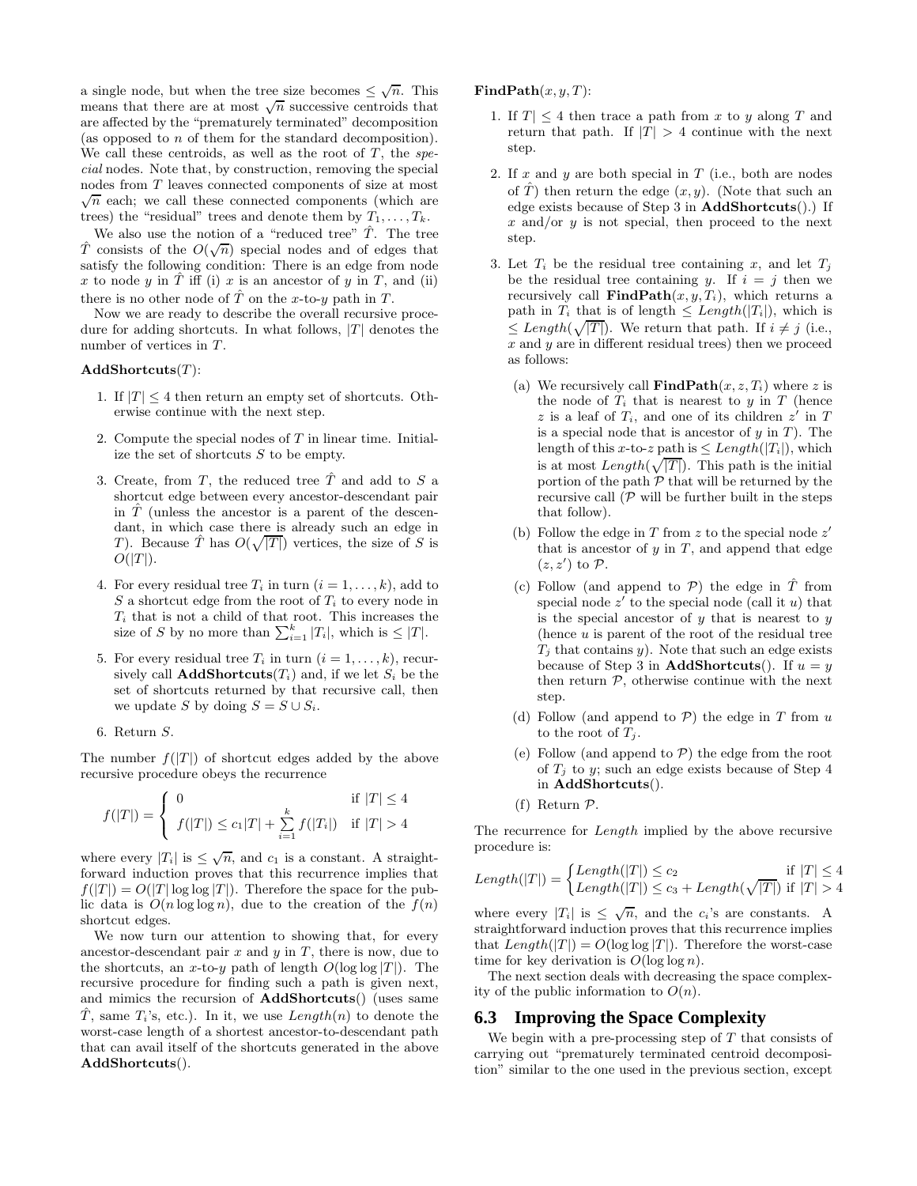a single node, but when the tree size becomes  $\leq \sqrt{n}$ . This means that there are at most  $\sqrt{n}$  successive centroids that are affected by the "prematurely terminated" decomposition (as opposed to n of them for the standard decomposition). We call these centroids, as well as the root of  $T$ , the special nodes. Note that, by construction, removing the special nodes from T leaves connected components of size at most  $\sqrt{n}$  each; we call these connected components (which are trees) the "residual" trees and denote them by  $T_1, \ldots, T_k$ .

We also use the notion of a "reduced tree"  $\hat{T}$ . The tree  $\hat{T}$  consists of the  $\hat{O}(\sqrt{n})$  special nodes and of edges that satisfy the following condition: There is an edge from node x to node y in  $\hat{T}$  iff (i) x is an ancestor of y in T, and (ii) there is no other node of  $\hat{T}$  on the x-to-y path in T.

Now we are ready to describe the overall recursive procedure for adding shortcuts. In what follows,  $|T|$  denotes the number of vertices in T.

#### $AddShortcuts(T)$ :

- 1. If  $|T| \leq 4$  then return an empty set of shortcuts. Otherwise continue with the next step.
- 2. Compute the special nodes of  $T$  in linear time. Initialize the set of shortcuts  $S$  to be empty.
- 3. Create, from T, the reduced tree  $\hat{T}$  and add to S a shortcut edge between every ancestor-descendant pair in  $\ddot{T}$  (unless the ancestor is a parent of the descendant, in which case there is already such an edge in T). Because  $\hat{T}$  has  $O(\sqrt{|T|})$  vertices, the size of S is  $O(|T|)$ .
- 4. For every residual tree  $T_i$  in turn  $(i = 1, \ldots, k)$ , add to S a shortcut edge from the root of  $T_i$  to every node in  $T_i$  that is not a child of that root. This increases the size of S by no more than  $\sum_{i=1}^{k} |T_i|$ , which is  $\leq |T|$ .
- 5. For every residual tree  $T_i$  in turn  $(i = 1, \ldots, k)$ , recursively call  $\mathbf{AddShortcuts}(T_i)$  and, if we let  $S_i$  be the set of shortcuts returned by that recursive call, then we update S by doing  $S = S \cup S_i$ .
- 6. Return S.

The number  $f(|T|)$  of shortcut edges added by the above recursive procedure obeys the recurrence

$$
f(|T|) = \begin{cases} 0 & \text{if } |T| \le 4\\ f(|T|) \le c_1 |T| + \sum_{i=1}^k f(|T_i|) & \text{if } |T| > 4 \end{cases}
$$

where every  $|T_i|$  is  $\leq \sqrt{n}$ , and  $c_1$  is a constant. A straightforward induction proves that this recurrence implies that  $f(|T|) = O(|T| \log \log |T|)$ . Therefore the space for the public data is  $O(n \log \log n)$ , due to the creation of the  $f(n)$ shortcut edges.

We now turn our attention to showing that, for every ancestor-descendant pair  $x$  and  $y$  in  $T$ , there is now, due to the shortcuts, an x-to-y path of length  $O(\log \log |T|)$ . The recursive procedure for finding such a path is given next, and mimics the recursion of AddShortcuts() (uses same T, same  $T_i$ 's, etc.). In it, we use  $Length(n)$  to denote the worst-case length of a shortest ancestor-to-descendant path that can avail itself of the shortcuts generated in the above AddShortcuts().

FindPath $(x, y, T)$ :

- 1. If  $T \leq 4$  then trace a path from x to y along T and return that path. If  $|T| > 4$  continue with the next step.
- 2. If x and y are both special in  $T$  (i.e., both are nodes of  $\hat{T}$ ) then return the edge  $(x, y)$ . (Note that such an edge exists because of Step 3 in AddShortcuts().) If  $x$  and/or  $y$  is not special, then proceed to the next step.
- 3. Let  $T_i$  be the residual tree containing x, and let  $T_j$ be the residual tree containing y. If  $i = j$  then we recursively call  $FindPath(x, y, T_i)$ , which returns a path in  $T_i$  that is of length  $\leq Length(|T_i|)$ , which is  $\leq Length(\sqrt{|T|})$ . We return that path. If  $i \neq j$  (i.e.,  $x$  and  $y$  are in different residual trees) then we proceed as follows:
	- (a) We recursively call  $\mathbf{FindPath}(x, z, T_i)$  where z is the node of  $T_i$  that is nearest to y in T (hence z is a leaf of  $T_i$ , and one of its children  $z'$  in T is a special node that is ancestor of  $y$  in  $T$ ). The length of this x-to-z path is  $\leq Length(|T_i|)$ , which is at most  $Length(\sqrt{|T|})$ . This path is the initial portion of the path  $P$  that will be returned by the recursive call  $(P$  will be further built in the steps that follow).
	- (b) Follow the edge in  $T$  from  $z$  to the special node  $z'$ that is ancestor of  $y$  in  $T$ , and append that edge  $(z, z')$  to  $\mathcal{P}$ .
	- (c) Follow (and append to  $P$ ) the edge in  $\hat{T}$  from special node  $z'$  to the special node (call it u) that is the special ancestor of  $y$  that is nearest to  $y$ (hence  $u$  is parent of the root of the residual tree  $T_i$  that contains y). Note that such an edge exists because of Step 3 in **AddShortcuts**(). If  $u = y$ then return  $P$ , otherwise continue with the next step.
	- (d) Follow (and append to  $P$ ) the edge in T from u to the root of  $T_j$ .
	- (e) Follow (and append to  $P$ ) the edge from the root of  $T_j$  to y; such an edge exists because of Step 4 in AddShortcuts().
	- (f) Return P.

The recurrence for Length implied by the above recursive procedure is:

$$
Length(|T|) = \begin{cases} Length(|T|) \le c_2 & \text{if } |T| \le 4\\ Length(|T|) \le c_3 + Length(\sqrt{|T|}) & \text{if } |T| > 4 \end{cases}
$$

where every  $|T_i|$  is  $\leq \sqrt{n}$ , and the  $c_i$ 's are constants. A straightforward induction proves that this recurrence implies that  $Length(|T|) = O(\log \log |T|)$ . Therefore the worst-case time for key derivation is  $O(\log \log n)$ .

The next section deals with decreasing the space complexity of the public information to  $O(n)$ .

#### **6.3 Improving the Space Complexity**

We begin with a pre-processing step of  $T$  that consists of carrying out "prematurely terminated centroid decomposition" similar to the one used in the previous section, except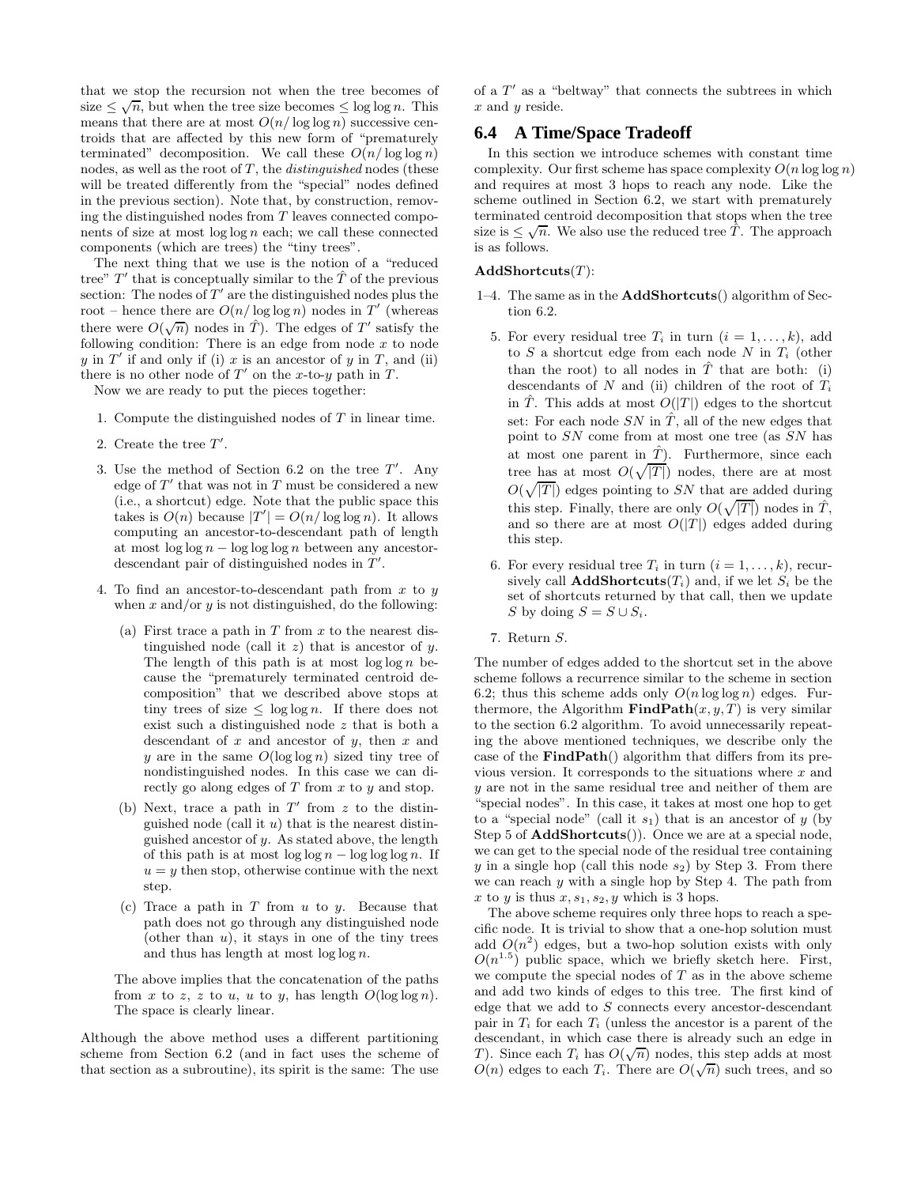that we stop the recursion not when the tree becomes of size  $\leq \sqrt{n}$ , but when the tree size becomes  $\leq \log \log n$ . This means that there are at most  $O(n/\log \log n)$  successive centroids that are affected by this new form of "prematurely terminated" decomposition. We call these  $O(n/\log \log n)$ nodes, as well as the root of  $T$ , the *distinguished* nodes (these will be treated differently from the "special" nodes defined in the previous section). Note that, by construction, removing the distinguished nodes from  $T$  leaves connected components of size at most  $\log \log n$  each; we call these connected components (which are trees) the "tiny trees".

The next thing that we use is the notion of a "reduced tree"  $T'$  that is conceptually similar to the  $\hat{T}$  of the previous section: The nodes of  $T'$  are the distinguished nodes plus the root – hence there are  $O(n/\log \log n)$  nodes in T' (whereas there were  $O(\sqrt{n})$  nodes in  $\hat{T}$ ). The edges of T' satisfy the following condition: There is an edge from node  $x$  to node y in  $T'$  if and only if (i) x is an ancestor of y in T, and (ii) there is no other node of  $T'$  on the x-to-y path in  $T$ .

Now we are ready to put the pieces together:

- 1. Compute the distinguished nodes of T in linear time.
- 2. Create the tree  $T'$ .
- 3. Use the method of Section 6.2 on the tree  $T'$ . Any edge of  $T'$  that was not in T must be considered a new (i.e., a shortcut) edge. Note that the public space this takes is  $O(n)$  because  $|T'| = O(n/\log \log n)$ . It allows computing an ancestor-to-descendant path of length at most  $\log \log n - \log \log \log n$  between any ancestordescendant pair of distinguished nodes in  $T'$ .
- 4. To find an ancestor-to-descendant path from  $x$  to  $y$ when  $x$  and/or  $y$  is not distinguished, do the following:
	- (a) First trace a path in  $T$  from  $x$  to the nearest distinguished node (call it  $z$ ) that is ancestor of  $y$ . The length of this path is at most  $\log \log n$  because the "prematurely terminated centroid decomposition" that we described above stops at tiny trees of size  $\leq \log \log n$ . If there does not exist such a distinguished node z that is both a descendant of  $x$  and ancestor of  $y$ , then  $x$  and y are in the same  $O(\log \log n)$  sized tiny tree of nondistinguished nodes. In this case we can directly go along edges of  $T$  from  $x$  to  $y$  and stop.
	- (b) Next, trace a path in  $T'$  from z to the distinguished node (call it  $u$ ) that is the nearest distinguished ancestor of y. As stated above, the length of this path is at most  $\log \log n - \log \log \log n$ . If  $u = y$  then stop, otherwise continue with the next step.
	- (c) Trace a path in  $T$  from  $u$  to  $y$ . Because that path does not go through any distinguished node (other than  $u$ ), it stays in one of the tiny trees and thus has length at most  $\log \log n$ .

The above implies that the concatenation of the paths from x to z, z to u, u to y, has length  $O(\log \log n)$ . The space is clearly linear.

Although the above method uses a different partitioning scheme from Section 6.2 (and in fact uses the scheme of that section as a subroutine), its spirit is the same: The use

of a  $T'$  as a "beltway" that connects the subtrees in which  $x$  and  $y$  reside.

## **6.4 A Time/Space Tradeoff**

In this section we introduce schemes with constant time complexity. Our first scheme has space complexity  $O(n \log \log n)$ and requires at most 3 hops to reach any node. Like the scheme outlined in Section 6.2, we start with prematurely terminated centroid decomposition that stops when the tree size is  $\leq \sqrt{n}$ . We also use the reduced tree  $\hat{T}$ . The approach is as follows.

### $AddShortcuts(T)$ :

- 1–4. The same as in the AddShortcuts() algorithm of Section 6.2.
	- 5. For every residual tree  $T_i$  in turn  $(i = 1, \ldots, k)$ , add to  $S$  a shortcut edge from each node  $N$  in  $T_i$  (other than the root) to all nodes in  $\hat{T}$  that are both: (i) descendants of  $N$  and (ii) children of the root of  $T_i$ in  $\hat{T}$ . This adds at most  $O(|T|)$  edges to the shortcut set: For each node  $SN$  in  $\hat{T}$ , all of the new edges that point to SN come from at most one tree (as SN has at most one parent in  $\hat{T}$ ). Furthermore, since each tree has at most  $O(\sqrt{|T|})$  nodes, there are at most  $O(\sqrt{|T|})$  edges pointing to SN that are added during this step. Finally, there are only  $O(\sqrt{|T|})$  nodes in  $\hat{T}$ , and so there are at most  $O(|T|)$  edges added during this step.
	- 6. For every residual tree  $T_i$  in turn  $(i = 1, \ldots, k)$ , recursively call  $\mathbf{AddShortcuts}(T_i)$  and, if we let  $S_i$  be the set of shortcuts returned by that call, then we update S by doing  $S = S \cup S_i$ .
	- 7. Return S.

The number of edges added to the shortcut set in the above scheme follows a recurrence similar to the scheme in section 6.2; thus this scheme adds only  $O(n \log \log n)$  edges. Furthermore, the Algorithm  $\mathbf{FindPath}(x, y, T)$  is very similar to the section 6.2 algorithm. To avoid unnecessarily repeating the above mentioned techniques, we describe only the case of the FindPath() algorithm that differs from its previous version. It corresponds to the situations where  $x$  and y are not in the same residual tree and neither of them are "special nodes". In this case, it takes at most one hop to get to a "special node" (call it  $s_1$ ) that is an ancestor of y (by Step 5 of **AddShortcuts**()). Once we are at a special node, we can get to the special node of the residual tree containing  $y$  in a single hop (call this node  $s_2$ ) by Step 3. From there we can reach y with a single hop by Step 4. The path from x to y is thus  $x, s_1, s_2, y$  which is 3 hops.

The above scheme requires only three hops to reach a specific node. It is trivial to show that a one-hop solution must add  $O(n^2)$  edges, but a two-hop solution exists with only  $O(n^{1.5})$  public space, which we briefly sketch here. First, we compute the special nodes of  $T$  as in the above scheme and add two kinds of edges to this tree. The first kind of edge that we add to S connects every ancestor-descendant pair in  $T_i$  for each  $T_i$  (unless the ancestor is a parent of the descendant, in which case there is already such an edge in T). Since each  $T_i$  has  $O(\sqrt{n})$  nodes, this step adds at most  $O(n)$  edges to each  $T_i$ . There are  $O(\sqrt{n})$  such trees, and so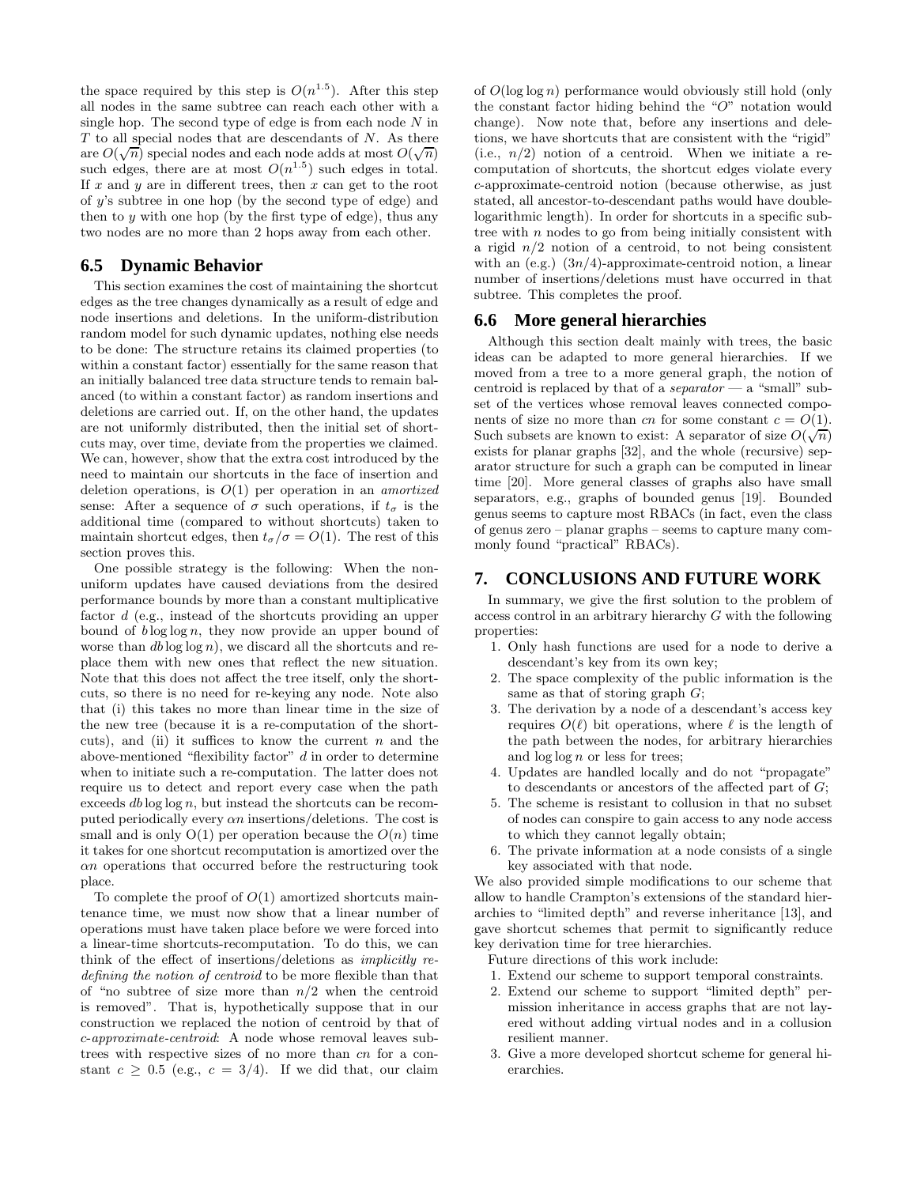the space required by this step is  $O(n^{1.5})$ . After this step all nodes in the same subtree can reach each other with a single hop. The second type of edge is from each node  $N$  in  $T$  to all special nodes that are descendants of  $N$ . As there are  $O(\sqrt{n})$  special nodes and each node adds at most  $O(\sqrt{n})$ such edges, there are at most  $O(n^{1.5})$  such edges in total. If  $x$  and  $y$  are in different trees, then  $x$  can get to the root of y's subtree in one hop (by the second type of edge) and then to  $y$  with one hop (by the first type of edge), thus any two nodes are no more than 2 hops away from each other.

## **6.5 Dynamic Behavior**

This section examines the cost of maintaining the shortcut edges as the tree changes dynamically as a result of edge and node insertions and deletions. In the uniform-distribution random model for such dynamic updates, nothing else needs to be done: The structure retains its claimed properties (to within a constant factor) essentially for the same reason that an initially balanced tree data structure tends to remain balanced (to within a constant factor) as random insertions and deletions are carried out. If, on the other hand, the updates are not uniformly distributed, then the initial set of shortcuts may, over time, deviate from the properties we claimed. We can, however, show that the extra cost introduced by the need to maintain our shortcuts in the face of insertion and deletion operations, is  $O(1)$  per operation in an *amortized* sense: After a sequence of  $\sigma$  such operations, if  $t_{\sigma}$  is the additional time (compared to without shortcuts) taken to maintain shortcut edges, then  $t_{\sigma}/\sigma = O(1)$ . The rest of this section proves this.

One possible strategy is the following: When the nonuniform updates have caused deviations from the desired performance bounds by more than a constant multiplicative factor d (e.g., instead of the shortcuts providing an upper bound of  $b \log \log n$ , they now provide an upper bound of worse than  $db \log \log n$ , we discard all the shortcuts and replace them with new ones that reflect the new situation. Note that this does not affect the tree itself, only the shortcuts, so there is no need for re-keying any node. Note also that (i) this takes no more than linear time in the size of the new tree (because it is a re-computation of the shortcuts), and (ii) it suffices to know the current  $n$  and the above-mentioned "flexibility factor" d in order to determine when to initiate such a re-computation. The latter does not require us to detect and report every case when the path exceeds  $db \log \log n$ , but instead the shortcuts can be recomputed periodically every  $\alpha n$  insertions/deletions. The cost is small and is only  $O(1)$  per operation because the  $O(n)$  time it takes for one shortcut recomputation is amortized over the  $\alpha$ n operations that occurred before the restructuring took place.

To complete the proof of  $O(1)$  amortized shortcuts maintenance time, we must now show that a linear number of operations must have taken place before we were forced into a linear-time shortcuts-recomputation. To do this, we can think of the effect of insertions/deletions as implicitly redefining the notion of centroid to be more flexible than that of "no subtree of size more than  $n/2$  when the centroid is removed". That is, hypothetically suppose that in our construction we replaced the notion of centroid by that of c-approximate-centroid: A node whose removal leaves subtrees with respective sizes of no more than cn for a constant  $c \geq 0.5$  (e.g.,  $c = 3/4$ ). If we did that, our claim

of  $O(\log \log n)$  performance would obviously still hold (only the constant factor hiding behind the " $O$ " notation would change). Now note that, before any insertions and deletions, we have shortcuts that are consistent with the "rigid" (i.e.,  $n/2$ ) notion of a centroid. When we initiate a recomputation of shortcuts, the shortcut edges violate every c-approximate-centroid notion (because otherwise, as just stated, all ancestor-to-descendant paths would have doublelogarithmic length). In order for shortcuts in a specific subtree with  $n$  nodes to go from being initially consistent with a rigid  $n/2$  notion of a centroid, to not being consistent with an  $(e.g.)$   $(3n/4)$ -approximate-centroid notion, a linear number of insertions/deletions must have occurred in that subtree. This completes the proof.

### **6.6 More general hierarchies**

Although this section dealt mainly with trees, the basic ideas can be adapted to more general hierarchies. If we moved from a tree to a more general graph, the notion of centroid is replaced by that of a separator — a "small" subset of the vertices whose removal leaves connected components of size no more than cn for some constant  $c = O(1)$ . Such subsets are known to exist: A separator of size  $O(\sqrt{n})$ exists for planar graphs [32], and the whole (recursive) separator structure for such a graph can be computed in linear time [20]. More general classes of graphs also have small separators, e.g., graphs of bounded genus [19]. Bounded genus seems to capture most RBACs (in fact, even the class of genus zero – planar graphs – seems to capture many commonly found "practical" RBACs).

## **7. CONCLUSIONS AND FUTURE WORK**

In summary, we give the first solution to the problem of access control in an arbitrary hierarchy G with the following properties:

- 1. Only hash functions are used for a node to derive a descendant's key from its own key;
- 2. The space complexity of the public information is the same as that of storing graph  $G$ ;
- 3. The derivation by a node of a descendant's access key requires  $O(\ell)$  bit operations, where  $\ell$  is the length of the path between the nodes, for arbitrary hierarchies and  $\log \log n$  or less for trees;
- 4. Updates are handled locally and do not "propagate" to descendants or ancestors of the affected part of  $G$ ;
- 5. The scheme is resistant to collusion in that no subset of nodes can conspire to gain access to any node access to which they cannot legally obtain;
- 6. The private information at a node consists of a single key associated with that node.

We also provided simple modifications to our scheme that allow to handle Crampton's extensions of the standard hierarchies to "limited depth" and reverse inheritance [13], and gave shortcut schemes that permit to significantly reduce key derivation time for tree hierarchies.

- Future directions of this work include:
- 1. Extend our scheme to support temporal constraints.
- 2. Extend our scheme to support "limited depth" permission inheritance in access graphs that are not layered without adding virtual nodes and in a collusion resilient manner.
- 3. Give a more developed shortcut scheme for general hierarchies.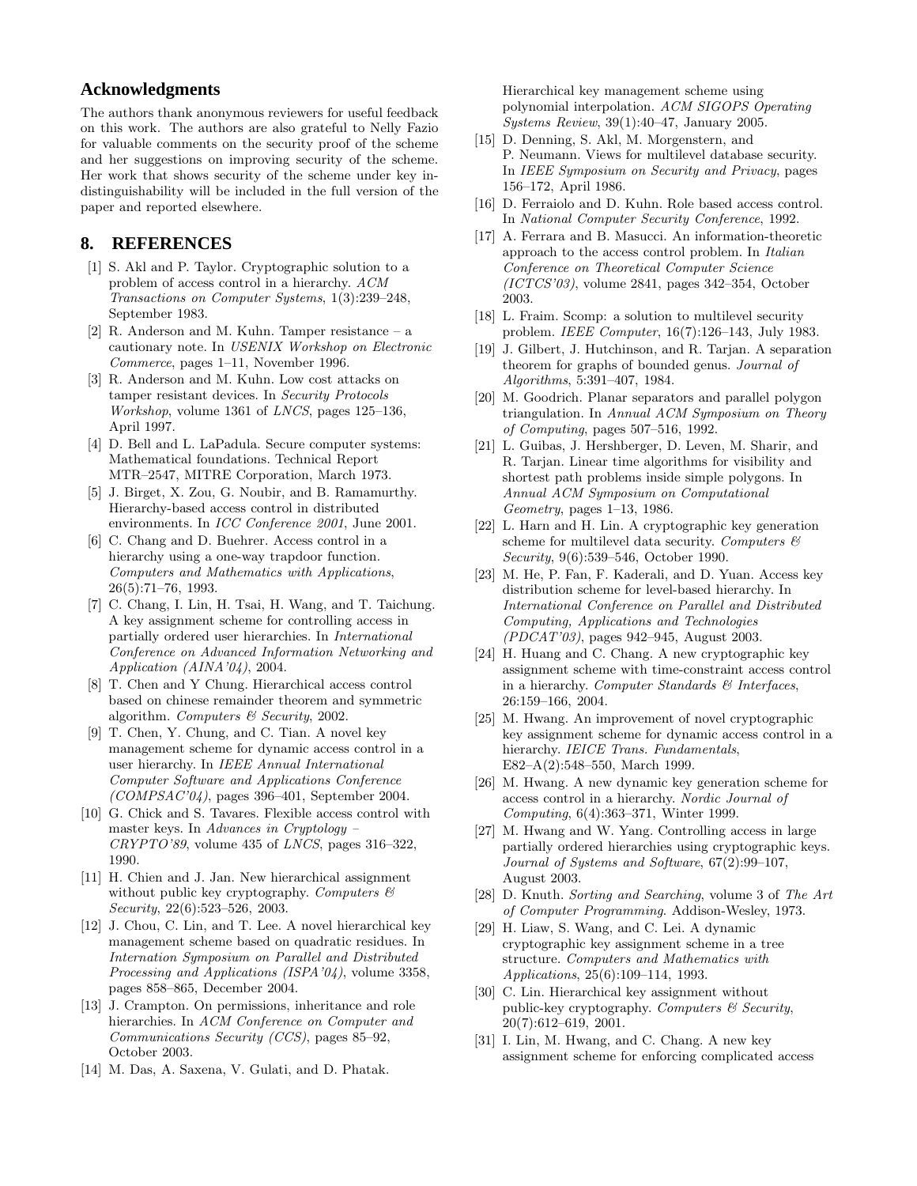# **Acknowledgments**

The authors thank anonymous reviewers for useful feedback on this work. The authors are also grateful to Nelly Fazio for valuable comments on the security proof of the scheme and her suggestions on improving security of the scheme. Her work that shows security of the scheme under key indistinguishability will be included in the full version of the paper and reported elsewhere.

# **8. REFERENCES**

- [1] S. Akl and P. Taylor. Cryptographic solution to a problem of access control in a hierarchy. ACM Transactions on Computer Systems, 1(3):239–248, September 1983.
- [2] R. Anderson and M. Kuhn. Tamper resistance a cautionary note. In USENIX Workshop on Electronic Commerce, pages 1–11, November 1996.
- [3] R. Anderson and M. Kuhn. Low cost attacks on tamper resistant devices. In Security Protocols Workshop, volume 1361 of LNCS, pages 125–136, April 1997.
- [4] D. Bell and L. LaPadula. Secure computer systems: Mathematical foundations. Technical Report MTR–2547, MITRE Corporation, March 1973.
- [5] J. Birget, X. Zou, G. Noubir, and B. Ramamurthy. Hierarchy-based access control in distributed environments. In ICC Conference 2001, June 2001.
- [6] C. Chang and D. Buehrer. Access control in a hierarchy using a one-way trapdoor function. Computers and Mathematics with Applications, 26(5):71–76, 1993.
- [7] C. Chang, I. Lin, H. Tsai, H. Wang, and T. Taichung. A key assignment scheme for controlling access in partially ordered user hierarchies. In International Conference on Advanced Information Networking and Application (AINA'04), 2004.
- [8] T. Chen and Y Chung. Hierarchical access control based on chinese remainder theorem and symmetric algorithm. Computers & Security, 2002.
- [9] T. Chen, Y. Chung, and C. Tian. A novel key management scheme for dynamic access control in a user hierarchy. In IEEE Annual International Computer Software and Applications Conference  $(COMPSAC'04)$ , pages 396-401, September 2004.
- [10] G. Chick and S. Tavares. Flexible access control with master keys. In Advances in Cryptology –  $CRYPTO'89$ , volume 435 of *LNCS*, pages 316–322, 1990.
- [11] H. Chien and J. Jan. New hierarchical assignment without public key cryptography. Computers  $\mathcal B$ Security, 22(6):523–526, 2003.
- [12] J. Chou, C. Lin, and T. Lee. A novel hierarchical key management scheme based on quadratic residues. In Internation Symposium on Parallel and Distributed Processing and Applications (ISPA'04), volume 3358, pages 858–865, December 2004.
- [13] J. Crampton. On permissions, inheritance and role hierarchies. In ACM Conference on Computer and Communications Security (CCS), pages 85–92, October 2003.
- [14] M. Das, A. Saxena, V. Gulati, and D. Phatak.

Hierarchical key management scheme using polynomial interpolation. ACM SIGOPS Operating Systems Review, 39(1):40–47, January 2005.

- [15] D. Denning, S. Akl, M. Morgenstern, and P. Neumann. Views for multilevel database security. In IEEE Symposium on Security and Privacy, pages 156–172, April 1986.
- [16] D. Ferraiolo and D. Kuhn. Role based access control. In National Computer Security Conference, 1992.
- [17] A. Ferrara and B. Masucci. An information-theoretic approach to the access control problem. In Italian Conference on Theoretical Computer Science  $(ICTCS'03)$ , volume 2841, pages 342–354, October 2003.
- [18] L. Fraim. Scomp: a solution to multilevel security problem. IEEE Computer, 16(7):126–143, July 1983.
- [19] J. Gilbert, J. Hutchinson, and R. Tarjan. A separation theorem for graphs of bounded genus. Journal of Algorithms, 5:391–407, 1984.
- [20] M. Goodrich. Planar separators and parallel polygon triangulation. In Annual ACM Symposium on Theory of Computing, pages 507–516, 1992.
- [21] L. Guibas, J. Hershberger, D. Leven, M. Sharir, and R. Tarjan. Linear time algorithms for visibility and shortest path problems inside simple polygons. In Annual ACM Symposium on Computational Geometry, pages 1–13, 1986.
- [22] L. Harn and H. Lin. A cryptographic key generation scheme for multilevel data security. Computers  $\mathcal{C}$ Security, 9(6):539–546, October 1990.
- [23] M. He, P. Fan, F. Kaderali, and D. Yuan. Access key distribution scheme for level-based hierarchy. In International Conference on Parallel and Distributed Computing, Applications and Technologies (PDCAT'03), pages 942–945, August 2003.
- [24] H. Huang and C. Chang. A new cryptographic key assignment scheme with time-constraint access control in a hierarchy. Computer Standards  $\mathcal C$  Interfaces, 26:159–166, 2004.
- [25] M. Hwang. An improvement of novel cryptographic key assignment scheme for dynamic access control in a hierarchy. IEICE Trans. Fundamentals, E82–A(2):548–550, March 1999.
- [26] M. Hwang. A new dynamic key generation scheme for access control in a hierarchy. Nordic Journal of Computing, 6(4):363–371, Winter 1999.
- [27] M. Hwang and W. Yang. Controlling access in large partially ordered hierarchies using cryptographic keys. Journal of Systems and Software, 67(2):99–107, August 2003.
- [28] D. Knuth. Sorting and Searching, volume 3 of The Art of Computer Programming. Addison-Wesley, 1973.
- [29] H. Liaw, S. Wang, and C. Lei. A dynamic cryptographic key assignment scheme in a tree structure. Computers and Mathematics with Applications, 25(6):109–114, 1993.
- [30] C. Lin. Hierarchical key assignment without public-key cryptography. Computers  $\mathcal C$  Security, 20(7):612–619, 2001.
- [31] I. Lin, M. Hwang, and C. Chang. A new key assignment scheme for enforcing complicated access